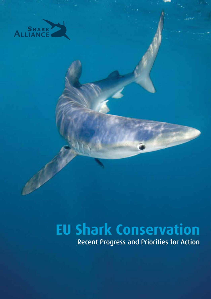

# **EU Shark Conservation**

Recent Progress and Priorities for Action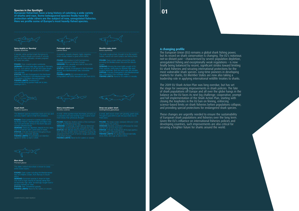# **01**

### **A changing profile**

The European Union (EU) remains a global shark fishing power, but its record on shark conservation is changing. The EU's notorious not-so-distant past – characterised by severe population depletion, unregulated fishing and exceptionally weak regulations – is now finally being balanced by recent, significant strides toward limiting EU shark fisheries and securing international protections for the most vulnerable shark species. Long-time pioneers in developing markets for sharks, EU Member States are now also taking a leadership role in applying international wildlife treaties to sharks.

The 2009 EU Shark Action Plan was long overdue, but has set the stage for sweeping improvements in shark policies. The fate of shark populations off Europe and all over the globe hangs in the balance as the EU faces its next big challenge: cooperative, prompt and full implementation of the Shark Action Plan, starting with closing the loopholes in the EU ban on finning, enforcing science-based limits on shark fisheries before populations collapse, and providing special protections for endangered shark species.

These changes are urgently needed to ensure the sustainability of European shark populations and fisheries over the long term. Given the EU's influence on international fisheries policies and developing countries, such improvements are also critical for securing a brighter future for sharks around the world.

### Species in the Spotlight

European fishermen have a long history of catching a wide variety of sharks and rays. Some beleaguered species finally have EU protection while others are the subject of new, unregulated fisheries. Here we profile some of Europe's most heavily fished species.

**DEMAND:** Among the most highly sought of EU STATUS: *Critically Endangered* in the Mediterranean Sea; *Vulnerable* in the northeast Atlantic. FISHING LIMITS: None for EU waters or vessels.



Spiny dogfish or 'Spurdog' *Squalus acanthias*

Can live for many decades; remains pregnant

FOUND: Cool, coastal waters worldwide. DEMAND: Smoked belly flaps popular in Germany. Sold as 'rock salmon' in UK fish and chips shops.

STATUS: *Critically Endangered* in the Northeast

FISHING LIMITS: Excessive EU commercial fishing quotas finally set at zero,



Porbeagle shark *Lamna nasus*

**FOUND:** Cool waters in both hemispheres, **DEMAND:** Fins valuable and sold to Asia while

STATUS: *Critically Endangered* in the Northeast

FISHING LIMITS: EU commercial catch<br>unregulated until 2008; reduced to zero from 2010.



Shortfin mako shark *Isurus oxyrinchus*

This wide-ranging shark, thought to be the world's

FOUND: Open-ocean waters around the world,<br>including the Mediterranean Sea and the Atlantic

### Deep-sea gulper shark *Centrophorus granulosus*

DEMAND: Severely overfished off Europe for meat<br>and the rich oil from their livers. STATUS: *Critically Endangered* off Europe (particularly Portugal); *Vulnerable* globally.<br>**FISHING LIMITS:** EU quotas reduced biennially<br>since 2005, set to go to zero in 2012.



Angel shark *Squatina squatina*

FOUND: Once common in coastal waters of the Northeast Atlantic, Mediterranean and Black Sea;

**DEMAND:** Seriously depleted, despite its low value, due to incidental catch, particularly in trawls. STATUS: *Critically Endangered* throughout European waters; *Vulnerable* globally.<br>**FISHING LIMITS:** EU prohibition on retention<br>agreed in 2008, to start in 2009.

### Starry smoothhound *Mustelus asterias*

A small, white-spotted shark that feeds primarily on

**FOUND:** Relatively shallow waters of the northeast **DEMAND:** Increasingly sought after by fishermen<br>off Atlantic continental Europe, primarily for meat. STATUS: Still officially listed by IUCN as *Least Con-***FISHING LIMITS:** None for EU waters or vessels.

Blue shark *Prionace glauca* 

FOUND: Open ocean including the Mediterranean

DEMAND: Dominant species in Asian fin trade due more to high volume of catches rather than

STATUS: *Near Threatened* globally. FISHING LIMITS: None for EU waters or vessels.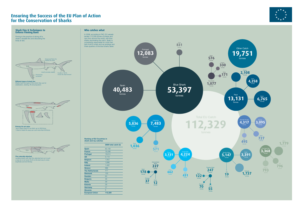# **Ensuring the Success of the EU Plan of Action for the Conservation of Sharks**

 $\left(\begin{smallmatrix} \cdot & \cdot & \cdot \\ \cdot & \circ & \cdot \end{smallmatrix}\right)$ 

 $\left(\cdot\right)$ 

**247** Thresher Shark tonnes

> **55** Other tonnes



**576** Spain tonnes

**1,077** Tope Shark tonnes



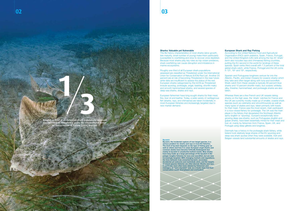### Sharks: Valuable yet Vulnerable

The life history characteristics of most sharks (slow growth, late maturity, small number of young) make them particularly susceptible to overfishing and slow to recover once depleted. Because most sharks play key roles as top ocean predators, shark overfishing can cause disruption and imbalance in marine ecosystems.

According to the United Nations Food and Agricultural Organization (FAO) catch statistics, Spain, France, Portugal, and the United Kingdom (UK) rank among the top 20 'shark' (term also includes rays and chimaeras) fishing countries, putting the EU second in the world for landings of these species. Spain ranks third overall with 7.3 percent of the total global shark catch, while France, Portugal and the UK come in  $12<sup>th</sup>$ ,  $16<sup>th</sup>$  and  $19<sup>th</sup>$ , respectively.

Roughly one-third of all European shark populations assessed are classified as Threatened under the International Union for Conservation of Nature (IUCN) Red List. Another 20 percent are at risk of becoming Threatened in the near future while data are insufficient to assess the status of the rest. European sharks categorised by the IUCN as Threatened include spurdog, porbeagle, angel, basking, shortfin mako and smooth hammerhead sharks, and several species of deep-sea sharks, skates and rays.

European fishermen have long sought sharks for their meat, fins, liver oil and leather. Today, a wide variety of cartilaginous fish (sharks, rays, and chimaeras) are taken incidentally in most European fisheries and increasingly targeted due to new market demand.

### European Shark and Ray Fishing

Roughly a-third of all European shark populations assessed are classified as Threatened under the International Union for Conservation of Nature (IUCN) Red List. **1 3**

Spanish and Portuguese longliners venture far into the Atlantic, Pacific, and Indian Oceans for oceanic sharks which they take and often target along with tuna and swordfish. Shark catch from these vessels is typically 80 percent blue sharks and 10 percent shortfin mako, but oceanic whitetip, silky, thresher, hammerhead, and porbeagle sharks are also taken.

Whereas there are a few French and UK vessels taking sharks on the high seas, the 'shark' catches for France and the UK are currently mostly made up of smaller, coastal shark species (such as catsharks and smoothhounds) as well as many types of skates and rays, taken primarily with trawls for their meat. France was the most recent, main participant in a now-closed fishery for porbeagle. The UK was the main player in the fishery that devastated the Northeast Atlantic spiny dogfish or 'spurdog'. Europe's exceptionally slowgrowing deep-sea sharks, such as Portuguese dogfish and gulper sharks, have been essentially mined for their meat and liver oil, mainly by fishermen from France, Spain, UK, and Portugal using deep gillnets and longlines.

Denmark has a history in the porbeagle shark fishery, while Ireland took relatively large shares of the EU spurdog and deep-sea shark quotas when they were available. Irish and Belgian vessels land substantial amounts of skates and rays.

### Bycatch

Bycatch, the incidental capture of non-target species, is a serious problem for sharks and rays in most EU fisheries. The level of bycatch depends on the type of fishing gear as well as where and how it is used. European angel sharks and common skates have become Critically Endangered due mainly to bycatch in unselective bottom trawls. Blue sharks have long made up a large percentage of the bycatch in EU pelagic longline fisheries for tuna and swordfish, but are now increasingly targeted. With changing markets and regulations, the lines between truly unwanted bycatch, secondary (incidental yet welcome and marketed) catch, and the targets of mixed-species fisheries are often blurred. Sharks and rays, in particular, have often been labeled by fishermen and managers as "just a bycatch" and, as a result, have had their conservation needs downplayed and overlooked.



ANDY MURCH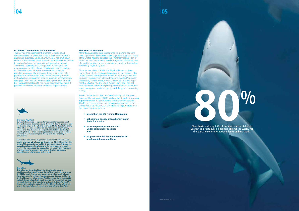### EU Shark Conservation Action to Date

More than a decade ago, in response to growing concern over depletion of the world's shark populations, governments of the United Nations adopted the FAO International Plan of Action for the Conservation and Management of Sharks, and pledged to produce shark conservation plans for their waters and fishing regions by 2001.

The EU has made significant progress towards shark conservation since 2006, but there is still much important unfinished business. On one hand, the EU has shut down several unsustainable shark fisheries, established new quotas for many shark and ray species; fully protected several Threatened species; and championed numerous shark measures under international fisheries and wildlife treaties. On the other hand, closures were enacted only after populations essentially collapsed; there are still no limits in place for the main targets of EU shark fisheries (blue and mako sharks); endangered species (such as hammerheads and giant devil rays) are woefully under-protected; and the EU Finning Regulation still has huge loopholes that make it possible to fin sharks without detection or punishment.



### The Road to Recovery

Since its formation in 2006, the Shark Alliance has been highlighting – for European citizens and policy-makers – the urgent need to better protect sharks. In February 2009, the European Commission released the long-awaited 'European Community Action Plan for the Conservation and Management of Sharks' (the EU Shark Action Plan). The Plan set forth measures aimed at improving information on shark fisheries, biology and trade, stopping overfishing, and preventing finning.

The EU Shark Action Plan was endorsed by the European Fisheries Council in April 2009, setting the stage for sweeping improvements in EU shark fishing and protection policies. The EU can emerge from this process as a leader in shark conservation by focusing on and ensuring implementation of the Plan's commitments to:



### Shark and Ray Meat

Europe is the source of a persistent demand for spurdog meat that fuels intense fisheries around the world. Spurdog meat is sold for fish and chips in the UK and as smoked belly flaps in Germany, while fillets are eaten in other EU countries including Belgium, France and Italy. Because the largest animals fetch the best price, spurdog fisheries often target aggregations of pregnant females, resulting in serious damage to the reproductive capacity of populations.

Europe has also been a major market for meat from porbeagle sharks and a variety of rays, particularly for US and Canadian fishermen. This demand may well be driving trade from other regions, but data are lacking. Italy is among the top importers of shark meat in the world, recently responsible for more than 10 percent of global imports (primarily blue shark, dogfish, porbeagle, smoothhound, catshark and mako meat).



### Shark Fins

Shark fins are the critical ingredient in shark fin soup, a traditional, celebratory Chinese dish. With a rise in demand since the 1980s, shark fins are now among the world's most valuable fisheries products. In Hong Kong, processed fins can sell for hundreds of Euros per kilogramme. The high-value fin, in contrast to typically lower-value shark meat, creates the economic incentive for shark 'finning' - the wasteful practice of slicing off a shark's fins and discarding its body at sea. The EU, particularly Spain, is one of the world's largest suppliers of shark fins to East Asia.

### Spanish and Portuguese longliners all over the world. Yet, there are no EU or international limits on blue sharks.

- strengthen the EU Finning Regulation;
- set science-based, precautionary catch limits for sharks;
- provide special protections for Endangered shark species; and
- propose complementary measures for sharks at international fora.



Blue sharks make up 80% of the shark catches taken by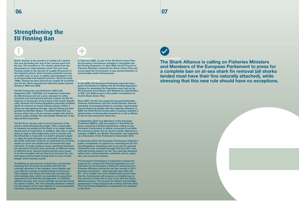Shark 'finning' is the practice of cutting off a shark's fins and discarding the rest of the carcass back into the sea. The incentive to 'fin' sharks stems from the discrepancy in value between shark fins and meat. Finning results in the discard of roughly 95 percent of the targeted animal, which includes potential sources of protein and, as such, is widely acknowledged to be an irresponsible and wasteful practice. Since the early 1990s, finning has been banned by roughly 30 countries and the EU. Most international fisheries bodies banned finning in 2004 and 2005.

The EU finning ban was finalised in 2003 with Regulation (EC) 1185/2003, but loopholes undermine its effectiveness and set a poor standard for other countries and international policies. Indeed, the EU finning ban is among the most lenient in the world. Specifically, whereas the Finning Regulation generally prohibits shark fin removal on-board fishing vessels, Article 4 allows for derogations through "special fishing permits" granted by Member States. Permitted fishermen can remove shark fins; a fin-to-carcass weight ratio limit is used to judge whether fins and bodies landed are in the appropriate proportion.

The EU fin to carcass ratio is set at 5 percent of the shark's whole (theoretical) weight. This is impossible to measure accurately as the shark is no longer whole during such an inspection. In addition, this ratio is about twice as high as the weight ratio used in Canada and the US (which is 5 percent of a shark's *dressed* weight i.e. after its head and guts are removed). According to the IUCN, fishermen could fin an estimated two to three sharks for each one landed and not exceed this high ratio limit. To make matters worse, permitted fishermen are allowed to land fins and carcasses at different times, in different ports. Special fishing permits were meant to be the exception and yet they have become the rule, with Spain and Portugal issuing them to most of their pelagic shark-fishing vessels.

Prohibiting at-sea removal of shark fins, and thereby requiring that all sharks be landed with their fins *naturally* attached, is the simplest, most reliable and cost-effective means of implementing a finning ban. This strategy also allows for improved, species-specific landings data, which are essential for population assessment and fisheries management. To facilitate efficient storage, fins can be partially cut and laid along the sharks' bodies. The 'fins naturally attached' method has the support of the vast majority of conservationists, scientists, and enforcement personnel.

# Ŧ

### In February 2009, as part of the EU Shark Action Plan, the European Commission pledged to strengthen the EU Finning Regulation. In April 2009, the EU Council of Fisheries Ministers endorsed the Shark Action Plan and encouraged the Commission to pay special attention to and prioritise shark finning issues.

### Progress since 2006

In late 2006, the European Parliament urged the European Commission to tighten the EU Finning Regulation. Options for amending the Regulation were laid out by the European Commission and debated by stakeholders in 2007 and 2008 as part of the public consultation on the EU Shark Action Plan.

Since 2007, the EU has supported annual Sustainable Fisheries Resolutions from the United Nations General Assembly encouraging States to consider requirements that all sharks be landed with fins naturally attached. In 2008, the IUCN World Conservation Congress adopted a global policy on finning that amounts to a call on States to ban at-sea removal of shark fins.

In September 2010, four Members of the European Parliament (MEPs), with the support of the Shark Alliance, launched a Written Declaration calling on the European Commission to deliver a proposal to prohibit the removal of shark fins on-board vessels. Signed by a majority of MEPs, the Written Declaration was endorsed as a Resolution of the Parliament in December 2010.

In November 2010, the European Commission initiated a public consultation on options for amending the EU Finning Regulation, including a ban on at-sea fin removal. Comments were accepted through February 2011 and reflected strong support for the 'fins naturally attached' option from conservationists, scientists, divers, aquarists, and concerned citizens.

The European Commission is expected to release its proposal for a revised EU Finning Regulation for consideration by the European Parliament and Council of Fisheries Ministers during the last few months of 2011. Growing momentum – internationally and within the EU – for a simpler and more reliable policy gives hope that the Commission will propose a complete ban on the removal of shark fins at sea, in line with the Shark Alliance position. The process for debate and possible amendment of this proposal will continue well into 2012. The final Finning Regulation is expected to be adopted in late 2012.



## The Shark Alliance is calling on Fisheries Ministers and Members of the European Parliament to press for a complete ban on at-sea shark fin removal (all sharks landed must have their fins naturally attached), while stressing that this new rule should have no exceptions.

# **Strengthening the EU Finning Ban**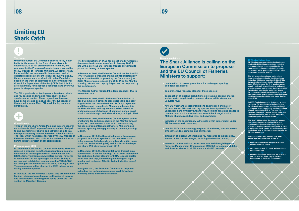Under the current EU Common Fisheries Policy, catch limits for fishermen, in the form of total allowable catches (TACs) or full prohibitions on retention, are proposed by the European Commission and agreed by the EU Council of Fisheries Ministers. All commercially important fish are supposed to be managed and all depleted species are meant to have recovery plans. EU fishery managers are provided with scientific advice based on the work of scientists from the International Council for Exploration of the Sea (ICES). Catch limits are set annually for most fish populations and every two years for deep-sea species.

The EU is gradually protecting more threatened shark and ray species and bringing more shark and ray species under quotas. These regulations, however, have come late and do not all cover the full ranges of threatened species. Much EU shark fishing remains unregulated.



### **Commitments**

Through the EU Shark Action Plan, and in more general commitments, the European Commission has pledged to end overfishing of sharks and set fishing limits in a more precautionary manner, based on scientific advice. The Plan, which has been endorsed by the EU Council of In November 2010, the Council adopted a Commission Fisheries Ministers, also calls for bycatch reduction and fishing limits to protect endangered species.

### Progress since 2006

In December 2006, the EU Council of Fisheries Ministers rejected a proposal from the European Commission to limit catch of porbeagle sharks at 240 tonnes (t) and left the fishery unregulated. Ministers agreed, however, to reduce the TAC for spurdog in the North Sea by 20 percent and established another spurdog TAC (2,828t) for other parts of the northeast Atlantic, starting in 2007. These measures fell far short of the ICES advice for no fishing on either species.

In late 2006, the EU Fisheries Council also prohibited the fishing, retaining, transshipping and landing of basking and white sharks, following their listing under the Convention on Migratory Species.

## The Shark Alliance is calling on the European Commission to propose and the EU Council of Fisheries Ministers to support:

# **Limiting EU Shark Catch**

EU Member States are obliged to implement applicable EU fishing regulations, including shark catch limits, on a national basis. In many cases, enforcement is lacking; at the same time, a few Member States have taken some extra steps for sharks.

The UK began championing national and international protection for basking sharks in the late 1990s and has since led the EU in the protection of angel sharks and limits on tope. Malta became the first Mediterranean country to legally protect basking and great white sharks as well as giant devil rays in 1999. Sweden has specifically prohibited fishing for porbeagles, small-spotted catsharks, and thornback rays, as well as common skates and basking sharks since 2004, and spiny dogfish since 2011.

In 2009, Spain became the first (and - to date - the only) EU Member State to ban fishing for all species of thresher and hammerhead sharks and began promoting such protections globally through the EU. In February 2011, Spain prohibited all capture, injury, and trade of these species as well as giant devil rays, basking sharks, and white sharks.

The Shark Alliance has documented numerous cases of the most obvious EU shark conservation violation – landing a basking shark – in Belgium, Greece, and Spain. In 2011, a porbeagle shark caught in the North Sea was landed and sold in the Netherlands, despite an EU ban on catches.

Through its European network, the Shark Alliance urges EU Member States to:

- educate fishermen on existing shark and ray conservation status;
- strictly enforce all EU shark and ray fishing regulations; and
- ensure full national protection for all shark and ray species listed by the IUCN as Endangered or Critically Endangered.

The first reductions in TACs for exceptionally vulnerable deep-sea sharks came into effect in January 2007, in line with a previous EU Fisheries Council agreement to phase out fishing of these species.

In December 2007, the Fisheries Council set the first EU TAC for Atlantic porbeagle sharks at 581t (substantially higher than the 422t proposed by the Commission) for 2008. Ministers also reduced the 2008 TACs for Atlantic spurdog, skates, and rays by 25 percent, as proposed by the Commission.

The Council further reduced the deep-sea shark TAC in November 2008.

In December 2008, the EU Fisheries Council failed to heed Commission advice to close porbeagle and spurdog fisheries and instead reduced TACs by 25 percent and 50 percent, respectively. Ministers balanced this reckless decision with agreements to ban retention and mandate careful release of common skates, angel sharks, undulate rays, and white skates, starting in 2009.

In December 2009, the Fisheries Council agreed both to end fishing for porbeagle sharks in the Atlantic through a zero TAC and to effect a ban on EU vessels taking the species from international waters. Ministers also reduced spurdog fishing quotas by 90 percent, starting in 2010.

proposal to add four species to the deep-sea shark fishery closure (frilled shark, six-gill shark, sailfin roughshark and knifetooth dogfish) and finally set the deepsea shark TAC at zero, starting in 2012.

In December 2010, the Council followed through on a commitment to set the spurdog TAC at zero, maintained the porbeagle fishery closure for 2011, reduced quotas for skates and rays, limited longline fishing for tope sharks, and protected Atlantic (but not Mediterranean) guitarfish.

In August 2011, the European Commission proposed extending the porbeagle measures to all EU waters, including those in the Mediterranean.

- continuation of current protections for porbeagle, spurdog, and deep-sea sharks;
- comprehensive recovery plans for these species;
- continuation of existing prohibitions on retaining basking sharks, white sharks, angel sharks, common skates, white skates, and undulate rays;
- new EU water and vessel prohibitions on retention and sale of all unprotected EU shark and ray species listed by the IUCN as Endangered and Critically Endangered, including great and scalloped hammerhead sharks, sawback and smoothback angel sharks, Maltese skates, giant devil rays, and sawfishes;
- inclusion of the exceptionally vulnerable lowfin gulper shark under EU deep-sea shark measures;
- new EU TACs for increasingly targeted blue sharks, shortfin makos, smoothhounds, catsharks, and chimaeras;
- extension of existing EU shark and ray measures to include all EU waters of the species' ranges, including the Mediterranean;
- extension of international protections adopted through Regional Fisheries Management Organisations (RFMOs) for oceanic whitetip and thresher sharks to all EU waters and all EU vessels.

### mher State Act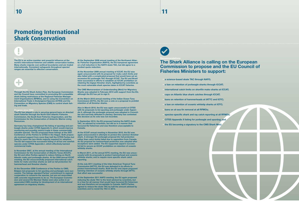The EU is an active member and powerful influence at the world's international fisheries and wildlife conservation bodies. Many sharks migrate over political boundaries and are traded internationally. Consistent safeguards throughout species' ranges are essential to effective conservation.

# ÷

**Commitments** 

Through the EU Shark Action Plan, the European Commission and the Council have committed to promoting EU-compatible shark fishing restrictions at the Regional Fisheries Management Organizations (RFMOs), and to using the Convention on International Trade in Endangered Species (CITES) and the Convention on Migratory Species (CMS) to control shark fishing and trade.

### Progress since 2006

The EU has played a role in securing general bans on directed shark fisheries through the North East Atlantic Fisheries Commission, the South East Fisheries Organisation, and the Commission for the Conservation of Antarctic Marine Living Resources.

Germany has long championed the listing of spurdog and porbeagle sharks under CITES Appendix II, which would improve monitoring and possibly restrict trade in these commercially valuable species. The EU proposed these listings at the 2007 Conference of the Parties to CITES in the Hague. Both proposals received support from more than half the CITES Parties but failed to reach the two-thirds majority required for adoption. The EU did support the successful listing of all but one sawfish species under CITES Appendix I, which effectively banned commercial trade.

In November 2007, at the annual meeting of the International Commission for the Conservation of Atlantic Tunas (ICCAT), the EU and other Parties agreed to reduce fishing on North Atlantic mako and porbeagle sharks. At the 2008 annual ICCAT meeting, the EU unsuccessfully proposed international catch limits for mako and blue sharks as well as full protection for hammerhead and thresher sharks.

At the December 2008 Conference of the Parties to CMS, Belgian-led proposals to list spurdog and porbeagle were successful. The listings signaled Parties' commitment to regional cooperation to conserve the species, but are not associated with concrete requirements to do so. The European Commission and several EU Member States were also active in an associated CMS meeting for development of an international agreement on migratory sharks.

At the September 2009 annual meeting of the Northwest Atlantic Fisheries Organization (NAFO), the EU hampered agreement on a full reduction in the NAFO skate TAC, but did agree to a modest quota reduction.

At the November 2009 annual meeting of ICCAT, the EU was again unsuccessful with its proposal for mako catch limits and also failed with a complicated proposal that would have set an excessive EU porbeagle TAC through ICCAT. The EU and Brazil were successful in efforts to establish an ICCAT prohibition on retaining the bigeye thresher shark, highlighted by scientists as the most vulnerable shark species taken in ICCAT fisheries.

The CMS Memorandum of Understanding (MoU) for Migratory Sharks was adopted in February 2010 with support from the EU, although the EU has yet to sign it.

At the March 2010 annual meeting of the Indian Ocean Tuna Commission (IOTC), the EU won a vote on a proposal to prohibit retention of all thresher sharks.

Also in March 2010, the EU was again unsuccessful at CITES with its proposals to list spurdog and porbeagle under Appendix II, although the porbeagle proposal was adopted in Committee and narrowly defeated in plenary; Germany has contested this decision as its vote was not recorded.

In September 2010, the EU proposed halving the NAFO skate TAC, as advised by scientists, but did so in a manner that favoured EU fishermen and was therefore unacceptable to Canada.

At the ICCAT annual meeting in November 2010, the EU was again unsuccessful in attempts to protect the common thresher shark. A stronger EU porbeagle proposal (for full protection rather than catch limits) failed due to opposition from Canada. An EU proposal for hammerhead protection was adopted after exceptions were added. The EU supported Japan's successful bid to secure an ICCAT prohibition on retention of oceanic whitetip sharks.

In March 2011, at the annual IOTC meeting, the EU was unsuccessful with its proposals to protect hammerhead and oceanic whitetip sharks, and to require more specific shark catch reporting.

At the July 2011 meeting of the Inter-American Tropical Tuna Commission (IATTC), the EU was defeated in its efforts to protect hammerhead sharks. Both the EU and Japan proposed banning retention of oceanic whitetip sharks through IATTC; that effort was successful.

At the September 2011 NAFO meeting, the EU again proposed reducing the skate TAC to the level advised by scientists, but in a free-for-all manner that would have favoured EU fishermen and was therefore not acceptable to Canada. NAFO Parties agreed to reduce the skate TAC by half the amount advised by scientists and to revisit the TAC in 2012.



## The Shark Alliance is calling on the European Commission to propose and the EU Council of Fisheries Ministers to support:

- a science-based skate TAC through NAFO;
- a ban on retention of porbeagle sharks through ICCAT:
- international catch limits on shortfin mako sharks at ICCAT;
- caps on Atlantic blue shark catches through ICCAT;
- bans on retention of hammerheads at IATTC and IOTC;
- a ban on retention of oceanic whitetip sharks at IOTC;
- bans on at-sea fin removal at all RFMOs;
- species-specific shark and ray catch reporting at all RFMOs;
- CITES Appendix II listing for porbeagle and spurdog; and
- the EU becoming a signatory to the CMS Shark MoU.



# **Promoting International Shark Conservation**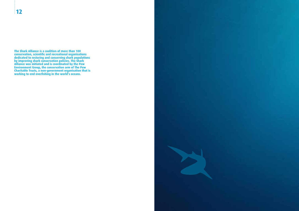**The Shark Alliance is a coalition of more than 100 conservation, scientific and recreational organisations dedicated to restoring and conserving shark populations by improving shark conservation policies. The Shark Alliance was initiated and is coordinated by the Pew Environment Group, the conservation arm of The Pew Charitable Trusts, a non-government organisation that is working to end overfishing in the world's oceans.**

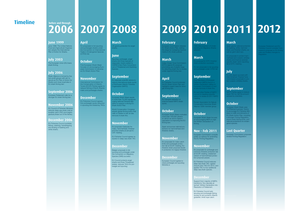# **2006 2007 2008 2009 2010 2011 2012**

European Parliament and EU Fisheries Council consider Com

### **April**

EU proposals to list spurdog and porbeagle sharks under the Convention on International Trade in Endangered Species

(CITES) fail.

### **October**

First European Shark Week focuses on encouraging Euro pean Commission to develop an EU Shark Action Plan.

### **November**

urdog, porbeagle, angel sharks and three species of deepwater sharks added to OSPAR (Oslo-Paris Convention) List of Threatened and Declining Species.

International Commission for the Conservation of Atlantic Tunas (ICCAT) Parties agree to reduce fishing of North Atlantic mako and porbeagle sharks.

**J** opposes scientific advice to reduce international skate quota of Northwest Atlantic Fisheries Organization (NAFO).

### **December**

EU Fisheries Council agrees first porbeagle quota reduction in spurdog and skate/ray TACs.

### **March**

UK grants protection for angel sharks.

Belgian proposals to list spurdog and porbeagle under the Convention on Migratory Species (CMS) succeed.

### **June**

CMS Memorandum of Under ding for Migratory Shark

### **September**

oposal for IOTC threshe shark protection succeeds.

### **October**

European Shark Week results in more than 75,000 signatures urging national Fisheries Min isters to support a strong EU Shark Action Plan.

World Conservation Congress adopts global finning policy that calls on States to ban at-sea removal of shark fins.

### **November**

EU proposes measures for mako, hammerhead, thresher and blue sharks at annual IC - CAT meeting.

> Support from majority of MEPs transforms 'fins naturally at tached' Written Declaration into Resolution of Parliament.

EU Fisheries Council agrees re duction in deep-sea shark TAC.

### **December**

for basking, white, hammer head, and thresher sharks, as ell as giant devil rays.

EU Council protects angel sharks and three Threatened skates, reduces TACs for por beagle and spurdog.

### **February**

### **March**

and porbeagle under CITES fail.

## **September**

Four Members of European Parliament (MEPs) launch a at-sea removal of shark fins.

The European Union (EU) bans shark finning.

Shark Alliance is formed by five non-profit groups with aim to secure an EU Plan of Action for Sharks and close loopholes in EU shark finning ban.

> EU and other Parties of NAFO commit to heeding scientific advice for skates at 2011 NAFO meeting.

Finnish Association for Nature Conservation becomes Shark Alliance 100th member group.

EU Fisheries Council prohibits fishing, retaining, transshipping and landing of basking and white sharks.

### **October**

European Shark Week focuses on encouraging MEPs to sign the Written Declaration on finning.

## **Nov - Feb 2011**

European Commission consults public on options for amending the EU Finning Regulation.

EU Fisheries Council endorses the EU Shark Action Plan and hlights urgent need for stror er finning ban.

### **November**

EU proposals for porbeagle and common thresher protection fail at ICCAT meeting, weakened version of hammerhead protec tion proposal passes.

EU Fisheries Council reduces deep-sea shark TAC, agrees closure (zero TAC) for 2012, and applies TAC to four additional deep-sea shark species.

### **December**

EU Fisheries Council sets spurdog and porbeagle fishing quotas at zero,protects Atlantic guitarfish, limits tope catch.

## **March**

EU proposals to protect ham merhead and oceanic whitetip sharks and improve speciesspecific shark catch reporting fail at IOTC meeting.

# **July**

EU and Japan succeed with Inter-American Tropical Tuna Commission proposals to pro tect oceanic whitetip sharks.

## **September**

NAFO Parties agree to reduce skate TAC by half the amount advised by scientists.

## **October**

European Shark Week uses 'UnFINished business' theme to encourage EU Fisheries Min isters to fulfill commitments of EU Shark Action Plan, including a stronger Finning Regulation, sound shark fishing limits, and national protections for endan gered species.

## **Last Quarter**

European Commission proposes revised Finning Regulation.

# **Timeline**

### **June 1999**

June 1999: The United Nations Food and Agricultural Organiza tion adopts the International Plan of Action for Sharks.

## **July 2003**

### **July 2006**

### **September 2006**  European Parliament calls for a

stronger EU shark finning ban.

### **November 2006**

EU Council of Fisheries Ministers reduces deep-sea shark total al lowable catch (TAC) and begins gradual phase out of the fishery.

### **December 2006**

### **February**

European Commission releases hark Action Plan, setting the stage for sweeping improve ments in EU shark policies

### **March**

n Ocean Tuna Comm OTC) rejects EU proposal promoting use of plastic bags for attaching shark fins to bodies under regional finning ban.

## **April**

### **September**

EU hampers adoption of science-based NAFO skate quota.

### **October**

European Shark Week motivates more than 100,000 citizens to call for an end to Spain's opposition to improving the EU finning ban.

Spain announces national pro tections for hammerhead and thresher sharks.

### **November**

EU proposals for mako catch limits and porbeagle protec tion fail at ICCAT meeting; EU thresher shark proposal results in protection for bigeye thresher.

### **December**

European Council agrees to close porbeagle and spurdog fisheries.w